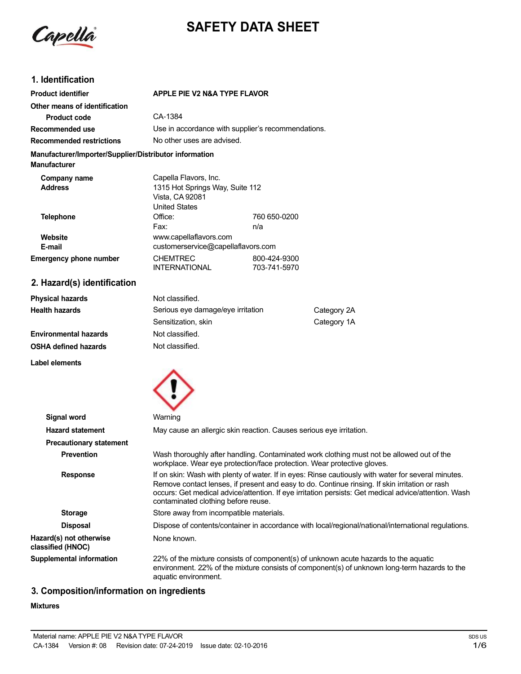

# **SAFETY DATA SHEET**

# **1. Identification**

| <b>Product identifier</b>                                                     | <b>APPLE PIE V2 N&amp;A TYPE FLAVOR</b>                                                             |                              |             |
|-------------------------------------------------------------------------------|-----------------------------------------------------------------------------------------------------|------------------------------|-------------|
| Other means of identification                                                 |                                                                                                     |                              |             |
| <b>Product code</b>                                                           | CA-1384                                                                                             |                              |             |
| Recommended use                                                               | Use in accordance with supplier's recommendations.                                                  |                              |             |
| <b>Recommended restrictions</b>                                               | No other uses are advised.                                                                          |                              |             |
| Manufacturer/Importer/Supplier/Distributor information<br><b>Manufacturer</b> |                                                                                                     |                              |             |
| Company name<br><b>Address</b>                                                | Capella Flavors, Inc.<br>1315 Hot Springs Way, Suite 112<br>Vista, CA 92081<br><b>United States</b> |                              |             |
| <b>Telephone</b>                                                              | Office:                                                                                             | 760 650-0200                 |             |
|                                                                               | Fax:                                                                                                | n/a                          |             |
| Website                                                                       | www.capellaflavors.com                                                                              |                              |             |
| E-mail                                                                        | customerservice@capellaflavors.com                                                                  |                              |             |
| <b>Emergency phone number</b>                                                 | <b>CHEMTREC</b><br><b>INTERNATIONAL</b>                                                             | 800-424-9300<br>703-741-5970 |             |
| 2. Hazard(s) identification                                                   |                                                                                                     |                              |             |
| <b>Physical hazards</b>                                                       | Not classified.                                                                                     |                              |             |
| <b>Health hazards</b>                                                         | Serious eye damage/eye irritation<br>Category 2A                                                    |                              |             |
|                                                                               | Sensitization, skin                                                                                 |                              | Category 1A |
| <b>Environmental hazards</b>                                                  | Not classified.                                                                                     |                              |             |
| <b>OSHA defined hazards</b>                                                   | Not classified.                                                                                     |                              |             |
| <b>Label elements</b>                                                         |                                                                                                     |                              |             |
|                                                                               |                                                                                                     |                              |             |
|                                                                               |                                                                                                     |                              |             |

| Signal word                                  | Warning                                                                                                                                                                                                                                                                                                                                              |  |  |
|----------------------------------------------|------------------------------------------------------------------------------------------------------------------------------------------------------------------------------------------------------------------------------------------------------------------------------------------------------------------------------------------------------|--|--|
| <b>Hazard statement</b>                      | May cause an allergic skin reaction. Causes serious eye irritation.                                                                                                                                                                                                                                                                                  |  |  |
| <b>Precautionary statement</b>               |                                                                                                                                                                                                                                                                                                                                                      |  |  |
| <b>Prevention</b>                            | Wash thoroughly after handling. Contaminated work clothing must not be allowed out of the<br>workplace. Wear eye protection/face protection. Wear protective gloves.                                                                                                                                                                                 |  |  |
| <b>Response</b>                              | If on skin: Wash with plenty of water. If in eyes: Rinse cautiously with water for several minutes.<br>Remove contact lenses, if present and easy to do. Continue rinsing. If skin irritation or rash<br>occurs: Get medical advice/attention. If eye irritation persists: Get medical advice/attention. Wash<br>contaminated clothing before reuse. |  |  |
| <b>Storage</b>                               | Store away from incompatible materials.                                                                                                                                                                                                                                                                                                              |  |  |
| <b>Disposal</b>                              | Dispose of contents/container in accordance with local/regional/national/international regulations.                                                                                                                                                                                                                                                  |  |  |
| Hazard(s) not otherwise<br>classified (HNOC) | None known.                                                                                                                                                                                                                                                                                                                                          |  |  |
| <b>Supplemental information</b>              | 22% of the mixture consists of component(s) of unknown acute hazards to the aquatic<br>environment. 22% of the mixture consists of component(s) of unknown long-term hazards to the<br>aquatic environment.                                                                                                                                          |  |  |

# **3. Composition/information on ingredients**

# **Mixtures**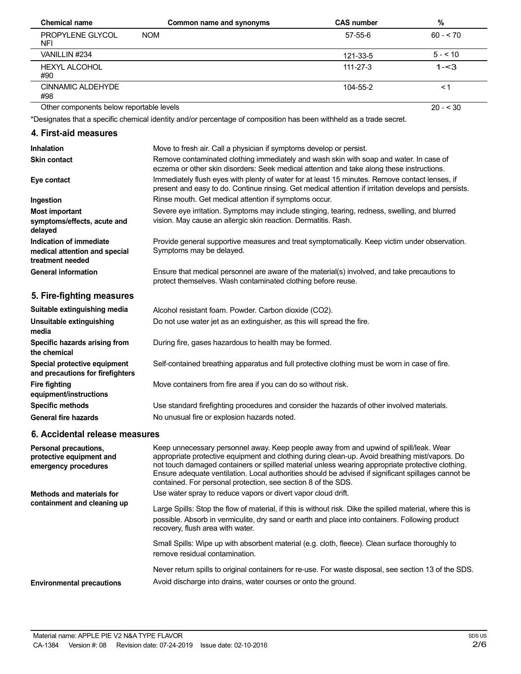| <b>Chemical name</b>                     | Common name and synonyms | <b>CAS number</b> | %         |
|------------------------------------------|--------------------------|-------------------|-----------|
| PROPYLENE GLYCOL<br><b>NFI</b>           | <b>NOM</b>               | 57-55-6           | $60 - 70$ |
| VANILLIN #234                            |                          | 121-33-5          | $5 - 10$  |
| <b>HEXYL ALCOHOL</b><br>#90              |                          | 111-27-3          | $1 - 3$   |
| CINNAMIC ALDEHYDE<br>#98                 |                          | 104-55-2          | ≺1        |
| Other components below reportable levels |                          |                   | $20 - 30$ |

 $20 - 530$ 

\*Designates that a specific chemical identity and/or percentage of composition has been withheld as a trade secret.

## **4. First-aid measures**

| Inhalation                                                                   | Move to fresh air. Call a physician if symptoms develop or persist.                                                                                                                                    |
|------------------------------------------------------------------------------|--------------------------------------------------------------------------------------------------------------------------------------------------------------------------------------------------------|
| <b>Skin contact</b>                                                          | Remove contaminated clothing immediately and wash skin with soap and water. In case of<br>eczema or other skin disorders: Seek medical attention and take along these instructions.                    |
| Eye contact                                                                  | Immediately flush eyes with plenty of water for at least 15 minutes. Remove contact lenses, if<br>present and easy to do. Continue rinsing. Get medical attention if irritation develops and persists. |
| Ingestion                                                                    | Rinse mouth. Get medical attention if symptoms occur.                                                                                                                                                  |
| <b>Most important</b><br>symptoms/effects, acute and<br>delayed              | Severe eye irritation. Symptoms may include stinging, tearing, redness, swelling, and blurred<br>vision. May cause an allergic skin reaction. Dermatitis. Rash.                                        |
| Indication of immediate<br>medical attention and special<br>treatment needed | Provide general supportive measures and treat symptomatically. Keep victim under observation.<br>Symptoms may be delayed.                                                                              |
| <b>General information</b>                                                   | Ensure that medical personnel are aware of the material(s) involved, and take precautions to<br>protect themselves. Wash contaminated clothing before reuse.                                           |
| 5. Fire-fighting measures                                                    |                                                                                                                                                                                                        |
| Suitable extinguishing media                                                 | Alcohol resistant foam. Powder. Carbon dioxide (CO2).                                                                                                                                                  |
| Unsuitable extinguishing<br>media                                            | Do not use water jet as an extinguisher, as this will spread the fire.                                                                                                                                 |
| Specific hazards arising from<br>the chemical                                | During fire, gases hazardous to health may be formed.                                                                                                                                                  |
| Special protective equipment<br>and precautions for firefighters             | Self-contained breathing apparatus and full protective clothing must be worn in case of fire.                                                                                                          |
| <b>Fire fighting</b><br>equipment/instructions                               | Move containers from fire area if you can do so without risk.                                                                                                                                          |
| <b>Specific methods</b>                                                      | Use standard firefighting procedures and consider the hazards of other involved materials.                                                                                                             |
| <b>General fire hazards</b>                                                  | No unusual fire or explosion hazards noted.                                                                                                                                                            |

# **6. Accidental release measures**

| Personal precautions,<br>protective equipment and<br>emergency procedures | Keep unnecessary personnel away. Keep people away from and upwind of spill/leak. Wear<br>appropriate protective equipment and clothing during clean-up. Avoid breathing mist/vapors. Do<br>not touch damaged containers or spilled material unless wearing appropriate protective clothing.<br>Ensure adequate ventilation. Local authorities should be advised if significant spillages cannot be<br>contained. For personal protection, see section 8 of the SDS. |  |
|---------------------------------------------------------------------------|---------------------------------------------------------------------------------------------------------------------------------------------------------------------------------------------------------------------------------------------------------------------------------------------------------------------------------------------------------------------------------------------------------------------------------------------------------------------|--|
| Methods and materials for<br>containment and cleaning up                  | Use water spray to reduce vapors or divert vapor cloud drift.<br>Large Spills: Stop the flow of material, if this is without risk. Dike the spilled material, where this is<br>possible. Absorb in vermiculite, dry sand or earth and place into containers. Following product<br>recovery, flush area with water.                                                                                                                                                  |  |
|                                                                           | Small Spills: Wipe up with absorbent material (e.g. cloth, fleece). Clean surface thoroughly to<br>remove residual contamination.                                                                                                                                                                                                                                                                                                                                   |  |
| <b>Environmental precautions</b>                                          | Never return spills to original containers for re-use. For waste disposal, see section 13 of the SDS.<br>Avoid discharge into drains, water courses or onto the ground.                                                                                                                                                                                                                                                                                             |  |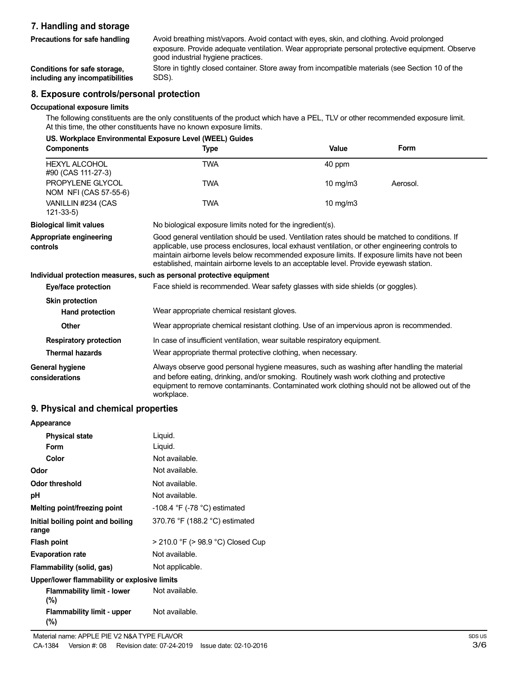# **7. Handling and storage**

| Precautions for safe handling | Avoid breathing mist/vapors. Avoid contact with eyes, skin, and clothing. Avoid prolonged       |
|-------------------------------|-------------------------------------------------------------------------------------------------|
|                               | exposure. Provide adequate ventilation. Wear appropriate personal protective equipment. Observe |
|                               | good industrial hygiene practices.                                                              |

**Conditions for safe storage, including any incompatibilities** Store in tightly closed container. Store away from incompatible materials (see Section 10 of the SDS).

## **8. Exposure controls/personal protection**

#### **Occupational exposure limits**

The following constituents are the only constituents of the product which have a PEL, TLV or other recommended exposure limit. At this time, the other constituents have no known exposure limits.

| US. Workplace Environmental Exposure Level (WEEL) Guides |                                                                                                                                                                                                                                                                                                                                                                                             |            |             |
|----------------------------------------------------------|---------------------------------------------------------------------------------------------------------------------------------------------------------------------------------------------------------------------------------------------------------------------------------------------------------------------------------------------------------------------------------------------|------------|-------------|
| <b>Components</b>                                        | Type                                                                                                                                                                                                                                                                                                                                                                                        | Value      | <b>Form</b> |
| <b>HEXYL ALCOHOL</b><br>#90 (CAS 111-27-3)               | <b>TWA</b>                                                                                                                                                                                                                                                                                                                                                                                  | 40 ppm     |             |
| PROPYLENE GLYCOL<br>NOM NFI (CAS 57-55-6)                | <b>TWA</b>                                                                                                                                                                                                                                                                                                                                                                                  | 10 $mg/m3$ | Aerosol.    |
| VANILLIN #234 (CAS<br>$121 - 33 - 5$                     | <b>TWA</b>                                                                                                                                                                                                                                                                                                                                                                                  | 10 $mg/m3$ |             |
| <b>Biological limit values</b>                           | No biological exposure limits noted for the ingredient(s).                                                                                                                                                                                                                                                                                                                                  |            |             |
| Appropriate engineering<br>controls                      | Good general ventilation should be used. Ventilation rates should be matched to conditions. If<br>applicable, use process enclosures, local exhaust ventilation, or other engineering controls to<br>maintain airborne levels below recommended exposure limits. If exposure limits have not been<br>established, maintain airborne levels to an acceptable level. Provide eyewash station. |            |             |
|                                                          | Individual protection measures, such as personal protective equipment                                                                                                                                                                                                                                                                                                                       |            |             |
| Eye/face protection                                      | Face shield is recommended. Wear safety glasses with side shields (or goggles).                                                                                                                                                                                                                                                                                                             |            |             |
| <b>Skin protection</b>                                   |                                                                                                                                                                                                                                                                                                                                                                                             |            |             |
| <b>Hand protection</b>                                   | Wear appropriate chemical resistant gloves.                                                                                                                                                                                                                                                                                                                                                 |            |             |
| Other                                                    | Wear appropriate chemical resistant clothing. Use of an impervious apron is recommended.                                                                                                                                                                                                                                                                                                    |            |             |
| <b>Respiratory protection</b>                            | In case of insufficient ventilation, wear suitable respiratory equipment.                                                                                                                                                                                                                                                                                                                   |            |             |
| <b>Thermal hazards</b>                                   | Wear appropriate thermal protective clothing, when necessary.                                                                                                                                                                                                                                                                                                                               |            |             |
| <b>General hygiene</b><br>considerations                 | Always observe good personal hygiene measures, such as washing after handling the material<br>and before eating, drinking, and/or smoking. Routinely wash work clothing and protective<br>equipment to remove contaminants. Contaminated work clothing should not be allowed out of the<br>workplace.                                                                                       |            |             |

### **9. Physical and chemical properties**

| Appearance                                   |                                   |
|----------------------------------------------|-----------------------------------|
| <b>Physical state</b>                        | Liquid.                           |
| Form                                         | Liquid.                           |
| Color                                        | Not available.                    |
| Odor                                         | Not available.                    |
| <b>Odor threshold</b>                        | Not available.                    |
| рH                                           | Not available.                    |
| Melting point/freezing point                 | $-108.4$ °F ( $-78$ °C) estimated |
| Initial boiling point and boiling<br>range   | 370.76 °F (188.2 °C) estimated    |
| <b>Flash point</b>                           | > 210.0 °F (> 98.9 °C) Closed Cup |
| <b>Evaporation rate</b>                      | Not available.                    |
| Flammability (solid, gas)                    | Not applicable.                   |
| Upper/lower flammability or explosive limits |                                   |
| <b>Flammability limit - lower</b><br>$(\% )$ | Not available.                    |
| Flammability limit - upper<br>(%)            | Not available.                    |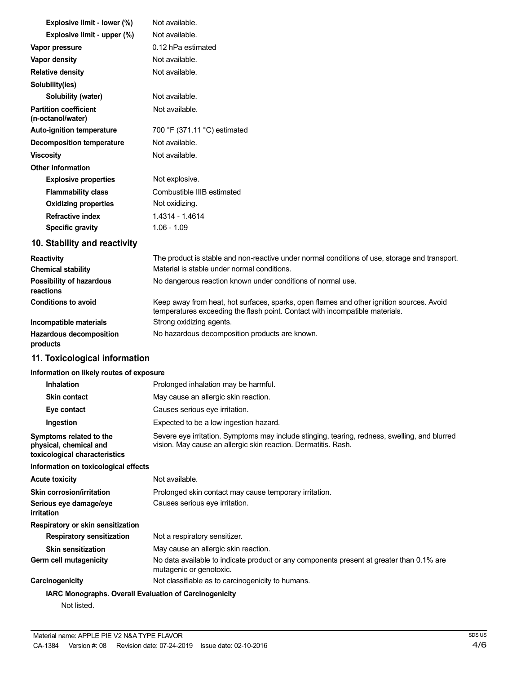| Explosive limit - lower (%)                       | Not available.               |  |  |
|---------------------------------------------------|------------------------------|--|--|
| Explosive limit - upper (%)                       | Not available.               |  |  |
| Vapor pressure                                    | 0.12 hPa estimated           |  |  |
| Vapor density                                     | Not available.               |  |  |
| <b>Relative density</b>                           | Not available.               |  |  |
| Solubility(ies)                                   |                              |  |  |
| Solubility (water)                                | Not available.               |  |  |
| <b>Partition coefficient</b><br>(n-octanol/water) | Not available.               |  |  |
| <b>Auto-ignition temperature</b>                  | 700 °F (371.11 °C) estimated |  |  |
| Decomposition temperature                         | Not available.               |  |  |
| <b>Viscosity</b>                                  | Not available.               |  |  |
| <b>Other information</b>                          |                              |  |  |
| <b>Explosive properties</b>                       | Not explosive.               |  |  |
| <b>Flammability class</b>                         | Combustible IIIB estimated   |  |  |
| <b>Oxidizing properties</b>                       | Not oxidizing.               |  |  |
| <b>Refractive index</b>                           | 1.4314 - 1.4614              |  |  |
| <b>Specific gravity</b>                           | $1.06 - 1.09$                |  |  |

# **10. Stability and reactivity**

| <b>Reactivity</b>                            | The product is stable and non-reactive under normal conditions of use, storage and transport.                                                                            |
|----------------------------------------------|--------------------------------------------------------------------------------------------------------------------------------------------------------------------------|
| <b>Chemical stability</b>                    | Material is stable under normal conditions.                                                                                                                              |
| <b>Possibility of hazardous</b><br>reactions | No dangerous reaction known under conditions of normal use.                                                                                                              |
| <b>Conditions to avoid</b>                   | Keep away from heat, hot surfaces, sparks, open flames and other ignition sources. Avoid<br>temperatures exceeding the flash point. Contact with incompatible materials. |
| Incompatible materials                       | Strong oxidizing agents.                                                                                                                                                 |
| <b>Hazardous decomposition</b><br>products   | No hazardous decomposition products are known.                                                                                                                           |

# **11. Toxicological information**

# **Information on likely routes of exposure**

| <b>Inhalation</b>                                                                  | Prolonged inhalation may be harmful.                                                                                                                            |  |  |
|------------------------------------------------------------------------------------|-----------------------------------------------------------------------------------------------------------------------------------------------------------------|--|--|
| <b>Skin contact</b>                                                                | May cause an allergic skin reaction.                                                                                                                            |  |  |
| Eye contact                                                                        | Causes serious eye irritation.                                                                                                                                  |  |  |
| Ingestion                                                                          | Expected to be a low ingestion hazard.                                                                                                                          |  |  |
| Symptoms related to the<br>physical, chemical and<br>toxicological characteristics | Severe eye irritation. Symptoms may include stinging, tearing, redness, swelling, and blurred<br>vision. May cause an allergic skin reaction. Dermatitis. Rash. |  |  |
| Information on toxicological effects                                               |                                                                                                                                                                 |  |  |
| <b>Acute toxicity</b>                                                              | Not available.                                                                                                                                                  |  |  |
| <b>Skin corrosion/irritation</b>                                                   | Prolonged skin contact may cause temporary irritation.                                                                                                          |  |  |
| Serious eye damage/eye<br>irritation                                               | Causes serious eye irritation.                                                                                                                                  |  |  |
| Respiratory or skin sensitization                                                  |                                                                                                                                                                 |  |  |
| <b>Respiratory sensitization</b>                                                   | Not a respiratory sensitizer.                                                                                                                                   |  |  |
| <b>Skin sensitization</b>                                                          | May cause an allergic skin reaction.                                                                                                                            |  |  |
| Germ cell mutagenicity                                                             | No data available to indicate product or any components present at greater than 0.1% are<br>mutagenic or genotoxic.                                             |  |  |
| Carcinogenicity                                                                    | Not classifiable as to carcinogenicity to humans.                                                                                                               |  |  |
| <b>IARC Monographs. Overall Evaluation of Carcinogenicity</b>                      |                                                                                                                                                                 |  |  |
| Not listed.                                                                        |                                                                                                                                                                 |  |  |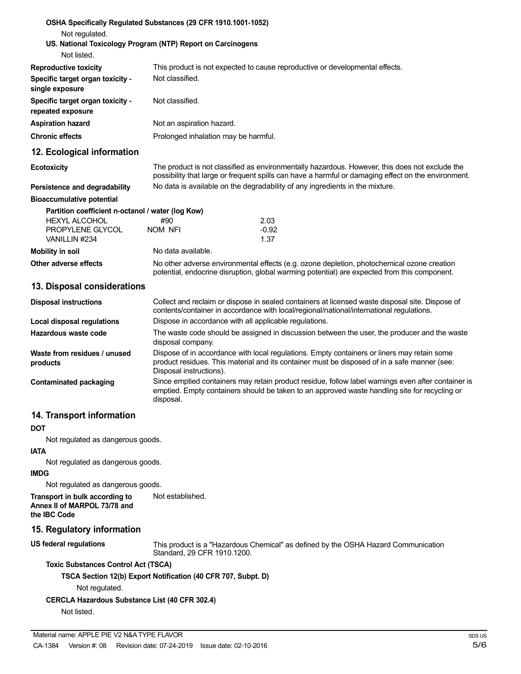| OSHA Specifically Regulated Substances (29 CFR 1910.1001-1052)<br>Not regulated.<br>US. National Toxicology Program (NTP) Report on Carcinogens<br>Not listed. |                                                                                                                                                                                             |                                                                                                                                                                                                       |  |  |
|----------------------------------------------------------------------------------------------------------------------------------------------------------------|---------------------------------------------------------------------------------------------------------------------------------------------------------------------------------------------|-------------------------------------------------------------------------------------------------------------------------------------------------------------------------------------------------------|--|--|
| <b>Reproductive toxicity</b>                                                                                                                                   |                                                                                                                                                                                             | This product is not expected to cause reproductive or developmental effects.                                                                                                                          |  |  |
| Specific target organ toxicity -<br>single exposure                                                                                                            | Not classified.                                                                                                                                                                             |                                                                                                                                                                                                       |  |  |
| Specific target organ toxicity -<br>repeated exposure                                                                                                          | Not classified.                                                                                                                                                                             |                                                                                                                                                                                                       |  |  |
| <b>Aspiration hazard</b>                                                                                                                                       |                                                                                                                                                                                             | Not an aspiration hazard.                                                                                                                                                                             |  |  |
| <b>Chronic effects</b>                                                                                                                                         |                                                                                                                                                                                             | Prolonged inhalation may be harmful.                                                                                                                                                                  |  |  |
| 12. Ecological information                                                                                                                                     |                                                                                                                                                                                             |                                                                                                                                                                                                       |  |  |
| <b>Ecotoxicity</b>                                                                                                                                             |                                                                                                                                                                                             | The product is not classified as environmentally hazardous. However, this does not exclude the<br>possibility that large or frequent spills can have a harmful or damaging effect on the environment. |  |  |
| Persistence and degradability                                                                                                                                  |                                                                                                                                                                                             | No data is available on the degradability of any ingredients in the mixture.                                                                                                                          |  |  |
| <b>Bioaccumulative potential</b>                                                                                                                               |                                                                                                                                                                                             |                                                                                                                                                                                                       |  |  |
| Partition coefficient n-octanol / water (log Kow)                                                                                                              |                                                                                                                                                                                             |                                                                                                                                                                                                       |  |  |
| <b>HEXYL ALCOHOL</b>                                                                                                                                           | #90                                                                                                                                                                                         | 2.03                                                                                                                                                                                                  |  |  |
| PROPYLENE GLYCOL<br>VANILLIN #234                                                                                                                              | NOM NFI                                                                                                                                                                                     | $-0.92$<br>1.37                                                                                                                                                                                       |  |  |
| <b>Mobility in soil</b>                                                                                                                                        | No data available.                                                                                                                                                                          |                                                                                                                                                                                                       |  |  |
| Other adverse effects                                                                                                                                          |                                                                                                                                                                                             | No other adverse environmental effects (e.g. ozone depletion, photochemical ozone creation<br>potential, endocrine disruption, global warming potential) are expected from this component.            |  |  |
| 13. Disposal considerations                                                                                                                                    |                                                                                                                                                                                             |                                                                                                                                                                                                       |  |  |
| <b>Disposal instructions</b>                                                                                                                                   |                                                                                                                                                                                             | Collect and reclaim or dispose in sealed containers at licensed waste disposal site. Dispose of<br>contents/container in accordance with local/regional/national/international regulations.           |  |  |
| Local disposal regulations                                                                                                                                     |                                                                                                                                                                                             | Dispose in accordance with all applicable regulations.                                                                                                                                                |  |  |
| Hazardous waste code                                                                                                                                           | disposal company.                                                                                                                                                                           | The waste code should be assigned in discussion between the user, the producer and the waste                                                                                                          |  |  |
| Waste from residues / unused<br>products                                                                                                                       | Dispose of in accordance with local regulations. Empty containers or liners may retain some<br>product residues. This material and its container must be disposed of in a safe manner (see: |                                                                                                                                                                                                       |  |  |

**Contaminated packaging**

# **14. Transport information**

#### **DOT**

Not regulated as dangerous goods.

#### **IATA**

Not regulated as dangerous goods.

### **IMDG**

Not regulated as dangerous goods.

**Transport in bulk according to Annex II of MARPOL 73/78 and the IBC Code** Not established.

#### **15. Regulatory information**

**US federal regulations**

This product is a "Hazardous Chemical" as defined by the OSHA Hazard Communication Standard, 29 CFR 1910.1200.

Since emptied containers may retain product residue, follow label warnings even after container is emptied. Empty containers should be taken to an approved waste handling site for recycling or

#### **Toxic Substances Control Act (TSCA)**

#### **TSCA Section 12(b) Export Notification (40 CFR 707, Subpt. D)**

Disposal instructions).

disposal.

Not regulated.

### **CERCLA Hazardous Substance List (40 CFR 302.4)**

Not listed.